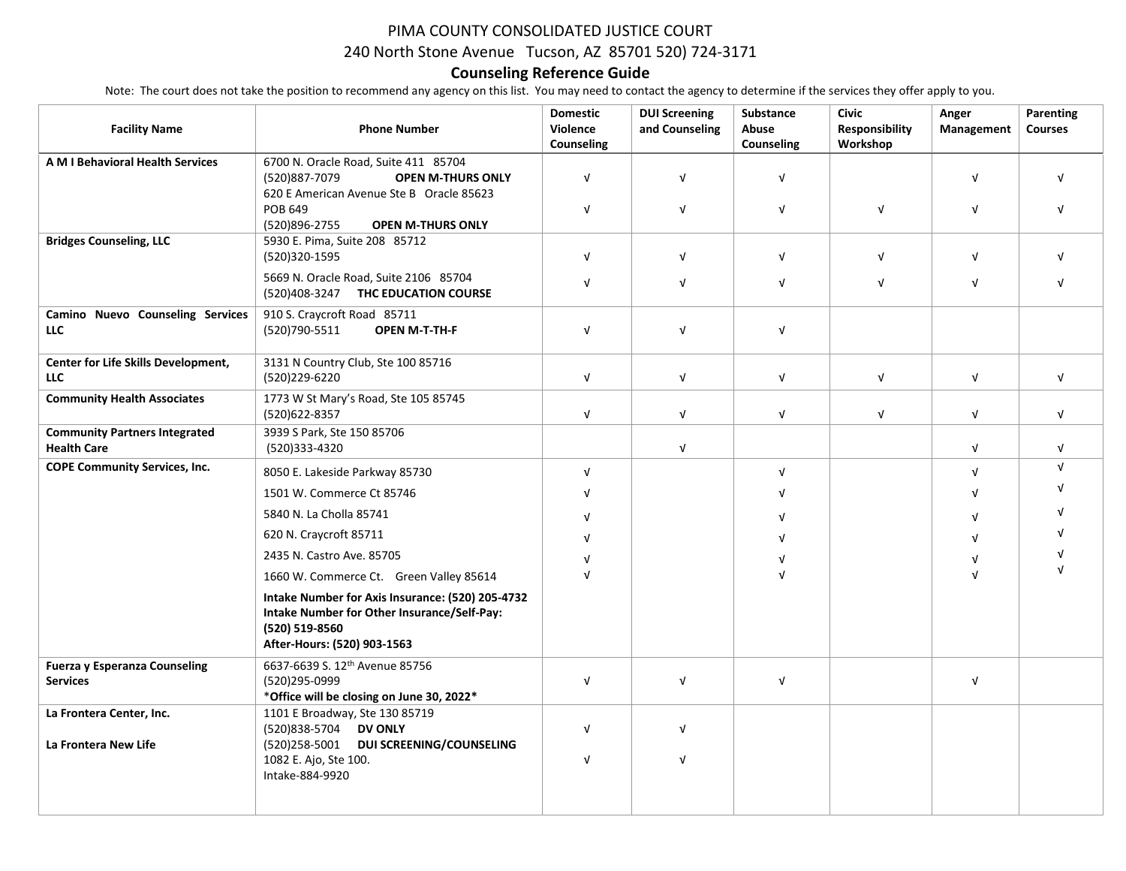## PIMA COUNTY CONSOLIDATED JUSTICE COURT

240 North Stone Avenue Tucson, AZ 85701 520) 724-3171

## **Counseling Reference Guide**

Note: The court does not take the position to recommend any agency on this list. You may need to contact the agency to determine if the services they offer apply to you.

| <b>Facility Name</b>                                       | <b>Phone Number</b>                                                                                                                              | <b>Domestic</b><br>Violence<br>Counseling | <b>DUI Screening</b><br>and Counseling | Substance<br>Abuse<br>Counseling | <b>Civic</b><br><b>Responsibility</b><br>Workshop | Anger<br>Management | Parenting<br><b>Courses</b> |
|------------------------------------------------------------|--------------------------------------------------------------------------------------------------------------------------------------------------|-------------------------------------------|----------------------------------------|----------------------------------|---------------------------------------------------|---------------------|-----------------------------|
| <b>AM I Behavioral Health Services</b>                     | 6700 N. Oracle Road, Suite 411 85704<br>(520)887-7079<br><b>OPEN M-THURS ONLY</b><br>620 E American Avenue Ste B Oracle 85623                    | $\sqrt{ }$                                | $\sqrt{ }$                             | $\sqrt{ }$                       |                                                   | $\sqrt{ }$          | $\sqrt{ }$                  |
|                                                            | POB 649<br>(520)896-2755<br><b>OPEN M-THURS ONLY</b>                                                                                             | $\sqrt{ }$                                | $\sqrt{ }$                             | $\sqrt{ }$                       | $\sqrt{ }$                                        | $\sqrt{ }$          |                             |
| <b>Bridges Counseling, LLC</b>                             | 5930 E. Pima, Suite 208 85712<br>(520)320-1595                                                                                                   | $\sqrt{ }$                                | $\sqrt{ }$                             | $\sqrt{ }$                       | $\sqrt{ }$                                        | $\sqrt{ }$          |                             |
|                                                            | 5669 N. Oracle Road, Suite 2106 85704<br>(520)408-3247 THC EDUCATION COURSE                                                                      | $\sqrt{ }$                                | V                                      | $\sqrt{ }$                       | $\sqrt{ }$                                        | $\sqrt{ }$          |                             |
| Camino Nuevo Counseling Services<br><b>LLC</b>             | 910 S. Craycroft Road 85711<br>(520)790-5511<br><b>OPEN M-T-TH-F</b>                                                                             | $\sqrt{ }$                                | $\sqrt{ }$                             | V                                |                                                   |                     |                             |
| Center for Life Skills Development,<br><b>LLC</b>          | 3131 N Country Club, Ste 100 85716<br>(520)229-6220                                                                                              | $\sqrt{ }$                                | $\sqrt{ }$                             | $\sqrt{ }$                       | $\sqrt{ }$                                        | $\sqrt{ }$          | $\sqrt{ }$                  |
| <b>Community Health Associates</b>                         | 1773 W St Mary's Road, Ste 105 85745<br>(520)622-8357                                                                                            | $\sqrt{ }$                                | $\sqrt{ }$                             | $\sqrt{ }$                       | $\sqrt{ }$                                        | $\sqrt{ }$          | $\sqrt{ }$                  |
| <b>Community Partners Integrated</b><br><b>Health Care</b> | 3939 S Park, Ste 150 85706<br>(520)333-4320                                                                                                      |                                           | $\sqrt{ }$                             |                                  |                                                   | $\sqrt{ }$          | $\sqrt{ }$                  |
| <b>COPE Community Services, Inc.</b>                       | 8050 E. Lakeside Parkway 85730                                                                                                                   | $\sqrt{ }$                                |                                        | $\sqrt{ }$                       |                                                   | $\sqrt{ }$          | $\sqrt{ }$                  |
|                                                            | 1501 W. Commerce Ct 85746                                                                                                                        | $\sqrt{ }$                                |                                        |                                  |                                                   |                     |                             |
|                                                            | 5840 N. La Cholla 85741                                                                                                                          | $\sqrt{ }$                                |                                        |                                  |                                                   | ν                   |                             |
|                                                            | 620 N. Craycroft 85711                                                                                                                           | $\sqrt{ }$                                |                                        |                                  |                                                   |                     |                             |
|                                                            | 2435 N. Castro Ave. 85705                                                                                                                        |                                           |                                        |                                  |                                                   | ν                   |                             |
|                                                            | 1660 W. Commerce Ct. Green Valley 85614                                                                                                          | $\sqrt{ }$                                |                                        |                                  |                                                   | $\sqrt{ }$          |                             |
|                                                            | Intake Number for Axis Insurance: (520) 205-4732<br>Intake Number for Other Insurance/Self-Pay:<br>(520) 519-8560<br>After-Hours: (520) 903-1563 |                                           |                                        |                                  |                                                   |                     |                             |
| <b>Fuerza y Esperanza Counseling</b><br><b>Services</b>    | 6637-6639 S. 12th Avenue 85756<br>(520)295-0999<br>*Office will be closing on June 30, 2022*                                                     | $\sqrt{ }$                                | $\sqrt{ }$                             | $\sqrt{ }$                       |                                                   | $\sqrt{ }$          |                             |
| La Frontera Center, Inc.<br>La Frontera New Life           | 1101 E Broadway, Ste 130 85719<br>(520)838-5704 DV ONLY<br>(520)258-5001 DUI SCREENING/COUNSELING                                                | $\sqrt{ }$                                | $\sqrt{ }$                             |                                  |                                                   |                     |                             |
|                                                            | 1082 E. Ajo, Ste 100.<br>Intake-884-9920                                                                                                         | $\sqrt{ }$                                | $\sqrt{ }$                             |                                  |                                                   |                     |                             |
|                                                            |                                                                                                                                                  |                                           |                                        |                                  |                                                   |                     |                             |